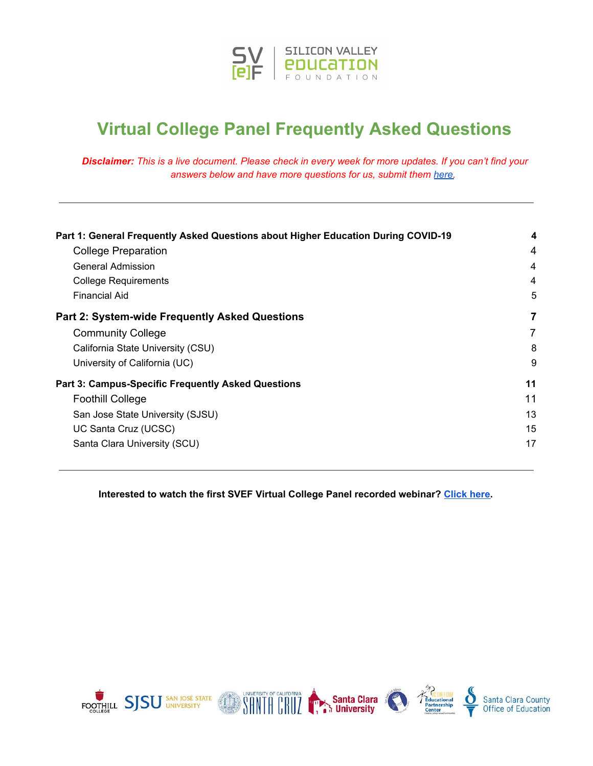

# **Virtual College Panel Frequently Asked Questions**

Disclaimer: This is a live document. Please check in every week for more updates. If you can't find your *answers below and have more questions for us, submit them [here.](https://bit.ly/SVEFVirtualCollegeSeries)*

| Part 1: General Frequently Asked Questions about Higher Education During COVID-19<br><b>College Preparation</b> | 4<br>4 |
|-----------------------------------------------------------------------------------------------------------------|--------|
|                                                                                                                 |        |
| <b>College Requirements</b>                                                                                     | 4      |
| Financial Aid                                                                                                   | 5      |
| <b>Part 2: System-wide Frequently Asked Questions</b>                                                           | 7      |
| <b>Community College</b>                                                                                        | 7      |
| California State University (CSU)                                                                               | 8      |
| University of California (UC)                                                                                   | 9      |
| <b>Part 3: Campus-Specific Frequently Asked Questions</b>                                                       | 11     |
| <b>Foothill College</b>                                                                                         | 11     |
| San Jose State University (SJSU)                                                                                | 13     |
| UC Santa Cruz (UCSC)                                                                                            | 15     |
| Santa Clara University (SCU)                                                                                    | 17     |

**Interested to watch the first SVEF Virtual College Panel recorded webinar? [Click](https://bit.ly/SVEFCollegeVideo1) here.**

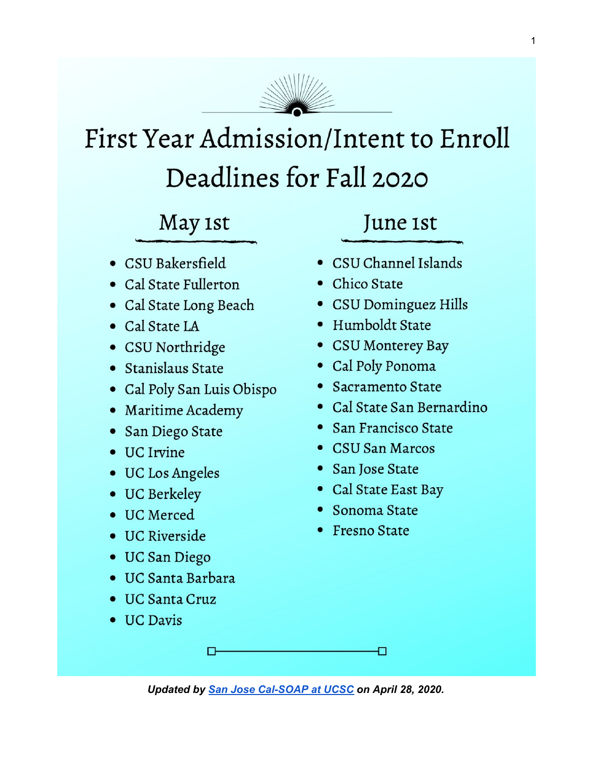

# First Year Admission/Intent to Enroll Deadlines for Fall 2020

# May 1st

- CSU Bakersfield
- Cal State Fullerton
- · Cal State Long Beach
- Cal State LA
- CSU Northridge
- · Stanislaus State
- Cal Poly San Luis Obispo
- Maritime Academy
- San Diego State
- UC Irvine
- UC Los Angeles
- UC Berkeley
- UC Merced
- UC Riverside
- UC San Diego
- · UC Santa Barbara

П

- UC Santa Cruz
- <span id="page-1-0"></span>• UC Davis

# June 1st

- · CSU Channel Islands
- Chico State
- CSU Dominguez Hills
- Humboldt State
- CSU Monterey Bay
- Cal Poly Ponoma
- Sacramento State
- Cal State San Bernardino
- San Francisco State
- CSU San Marcos
- San Jose State
- Cal State East Bay
- Sonoma State
- Fresno State

*Updated by San Jose [Cal-SOAP](https://calsoap.ucsc.edu/programs-services/programs.html) at UCSC on April 28, 2020.*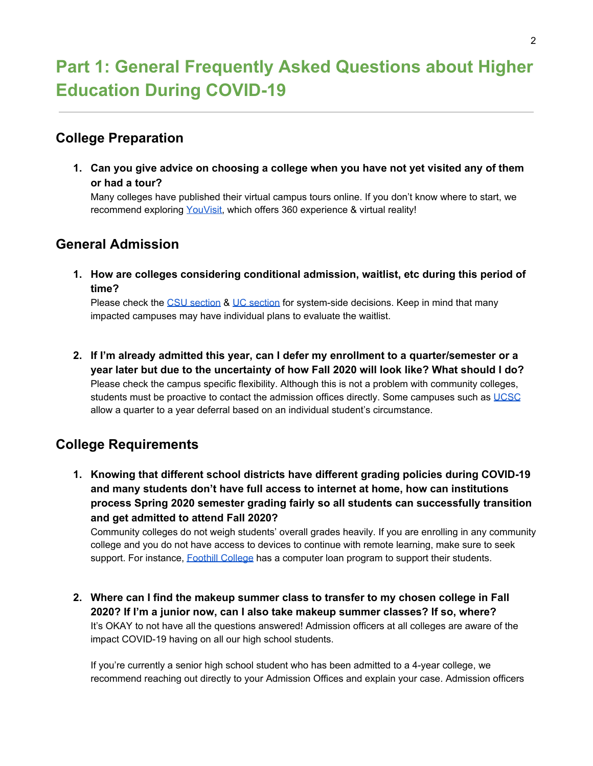# <span id="page-2-0"></span>**Part 1: General Frequently Asked Questions about Higher Education During COVID-19**

### <span id="page-2-1"></span>**College Preparation**

**1. Can you give advice on choosing a college when you have not yet visited any of them or had a tour?**

Many colleges have published their virtual campus tours online. If you don't know where to start, we recommend exploring [YouVisit,](https://www.youvisit.com/collegesearch/) which offers 360 experience & virtual reality!

# <span id="page-2-2"></span>**General Admission**

**1. How are colleges considering conditional admission, waitlist, etc during this period of time?**

Please check the CSU [section](#page-7-1) & UC section for system-side decisions. Keep in mind that many impacted campuses may have individual plans to evaluate the waitlist.

**2. If I'm already admitted this year, can I defer my enrollment to a quarter/semester or a year later but due to the uncertainty of how Fall 2020 will look like? What should I do?** Please check the campus specific flexibility. Although this is not a problem with community colleges, students must be proactive to contact the admission offices directly. Some campuses such as [UCSC](#page-13-1) allow a quarter to a year deferral based on an individual student's circumstance.

# <span id="page-2-3"></span>**College Requirements**

**1. Knowing that different school districts have different grading policies during COVID-19 and many students don't have full access to internet at home, how can institutions process Spring 2020 semester grading fairly so all students can successfully transition and get admitted to attend Fall 2020?**

Community colleges do not weigh students' overall grades heavily. If you are enrolling in any community college and you do not have access to devices to continue with remote learning, make sure to seek support. For instance, **Foothill [College](#page-9-2) has a computer loan program to support their students.** 

**2. Where can I find the makeup summer class to transfer to my chosen college in Fall 2020? If I'm a junior now, can I also take makeup summer classes? If so, where?** It's OKAY to not have all the questions answered! Admission officers at all colleges are aware of the impact COVID-19 having on all our high school students.

If you're currently a senior high school student who has been admitted to a 4-year college, we recommend reaching out directly to your Admission Offices and explain your case. Admission officers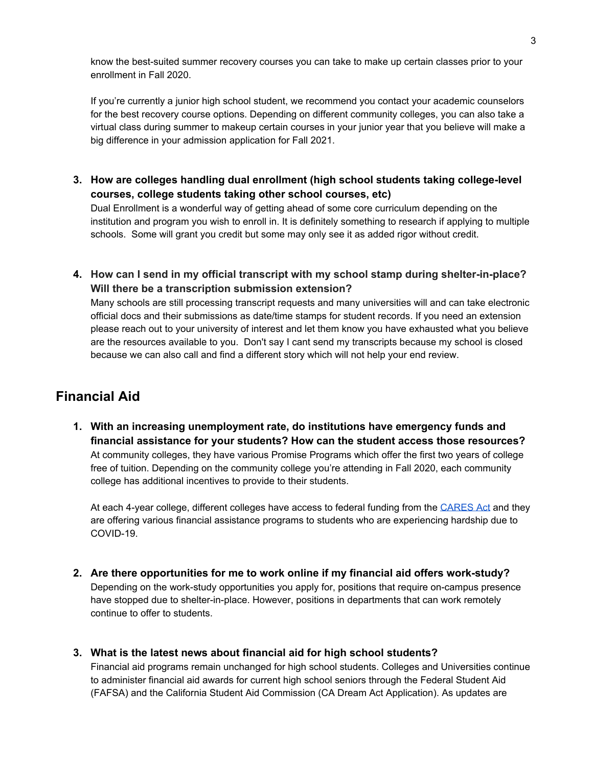know the best-suited summer recovery courses you can take to make up certain classes prior to your enrollment in Fall 2020.

If you're currently a junior high school student, we recommend you contact your academic counselors for the best recovery course options. Depending on different community colleges, you can also take a virtual class during summer to makeup certain courses in your junior year that you believe will make a big difference in your admission application for Fall 2021.

**3. How are colleges handling dual enrollment (high school students taking college-level courses, college students taking other school courses, etc)**

Dual Enrollment is a wonderful way of getting ahead of some core curriculum depending on the institution and program you wish to enroll in. It is definitely something to research if applying to multiple schools. Some will grant you credit but some may only see it as added rigor without credit.

**4. How can I send in my official transcript with my school stamp during shelter-in-place? Will there be a transcription submission extension?**

Many schools are still processing transcript requests and many universities will and can take electronic official docs and their submissions as date/time stamps for student records. If you need an extension please reach out to your university of interest and let them know you have exhausted what you believe are the resources available to you. Don't say I cant send my transcripts because my school is closed because we can also call and find a different story which will not help your end review.

# <span id="page-3-0"></span>**Financial Aid**

**1. With an increasing unemployment rate, do institutions have emergency funds and financial assistance for your students? How can the student access those resources?** At community colleges, they have various Promise Programs which offer the first two years of college free of tuition. Depending on the community college you're attending in Fall 2020, each community college has additional incentives to provide to their students.

At each 4-year college, different colleges have access to federal funding from the [CARES](https://www2.ed.gov/about/offices/list/ope/allocationsforsection18004a1ofcaresact.pdf) Act and they are offering various financial assistance programs to students who are experiencing hardship due to COVID-19.

- **2. Are there opportunities for me to work online if my financial aid offers work-study?** Depending on the work-study opportunities you apply for, positions that require on-campus presence have stopped due to shelter-in-place. However, positions in departments that can work remotely continue to offer to students.
- **3. What is the latest news about financial aid for high school students?**

Financial aid programs remain unchanged for high school students. Colleges and Universities continue to administer financial aid awards for current high school seniors through the Federal Student Aid (FAFSA) and the California Student Aid Commission (CA Dream Act Application). As updates are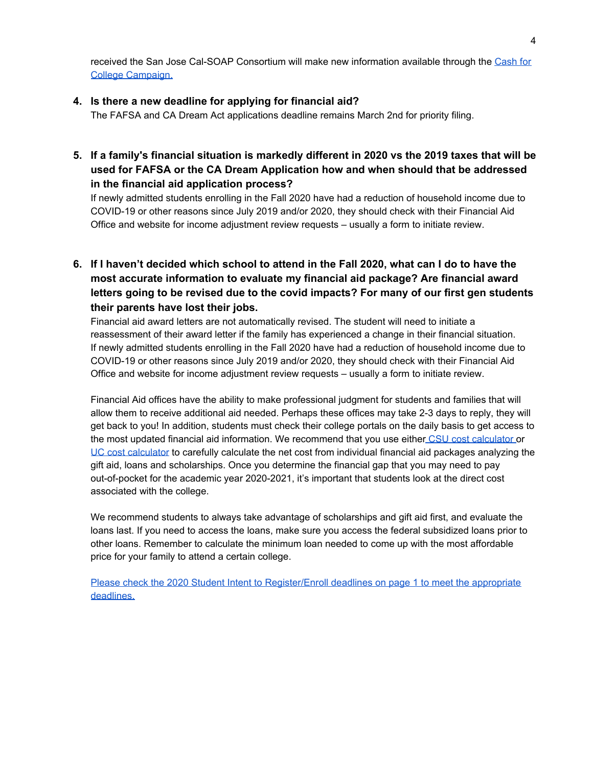received the San Jose Cal-SOAP Consortium will make new information available through the [Cash](https://sites.google.com/ucsc.edu/sanjoscashforcollegecampaign/about-us-san-jos%C3%A9-cash-for-college-campaign?authuser=0) for College [Campaign.](https://sites.google.com/ucsc.edu/sanjoscashforcollegecampaign/about-us-san-jos%C3%A9-cash-for-college-campaign?authuser=0)

#### **4. Is there a new deadline for applying for financial aid?**

The FAFSA and CA Dream Act applications deadline remains March 2nd for priority filing.

**5. If a family's financial situation is markedly different in 2020 vs the 2019 taxes that will be used for FAFSA or the CA Dream Application how and when should that be addressed in the financial aid application process?**

If newly admitted students enrolling in the Fall 2020 have had a reduction of household income due to COVID-19 or other reasons since July 2019 and/or 2020, they should check with their Financial Aid Office and website for income adjustment review requests – usually a form to initiate review.

<span id="page-4-0"></span>6. If I haven't decided which school to attend in the Fall 2020, what can I do to have the **most accurate information to evaluate my financial aid package? Are financial award letters going to be revised due to the covid impacts? For many of our first gen students their parents have lost their jobs.**

Financial aid award letters are not automatically revised. The student will need to initiate a reassessment of their award letter if the family has experienced a change in their financial situation. If newly admitted students enrolling in the Fall 2020 have had a reduction of household income due to COVID-19 or other reasons since July 2019 and/or 2020, they should check with their Financial Aid Office and website for income adjustment review requests – usually a form to initiate review.

Financial Aid offices have the ability to make professional judgment for students and families that will allow them to receive additional aid needed. Perhaps these offices may take 2-3 days to reply, they will get back to you! In addition, students must check their college portals on the daily basis to get access to the most updated financial aid information. We recommend that you use either CSU cost [calculator](https://www2.calstate.edu/attend/paying-for-college/Pages/csu-costs.aspx) or UC cost [calculator](https://admission.universityofcalifornia.edu/tuition-financial-aid/estimate-your-aid.html) to carefully calculate the net cost from individual financial aid packages analyzing the gift aid, loans and scholarships. Once you determine the financial gap that you may need to pay out-of-pocket for the academic year 2020-2021, it's important that students look at the direct cost associated with the college.

We recommend students to always take advantage of scholarships and gift aid first, and evaluate the loans last. If you need to access the loans, make sure you access the federal subsidized loans prior to other loans. Remember to calculate the minimum loan needed to come up with the most affordable price for your family to attend a certain college.

Please check the 2020 Student Intent to [Register/Enroll](#page-1-0) deadlines on page 1 to meet the appropriate [deadlines.](#page-1-0)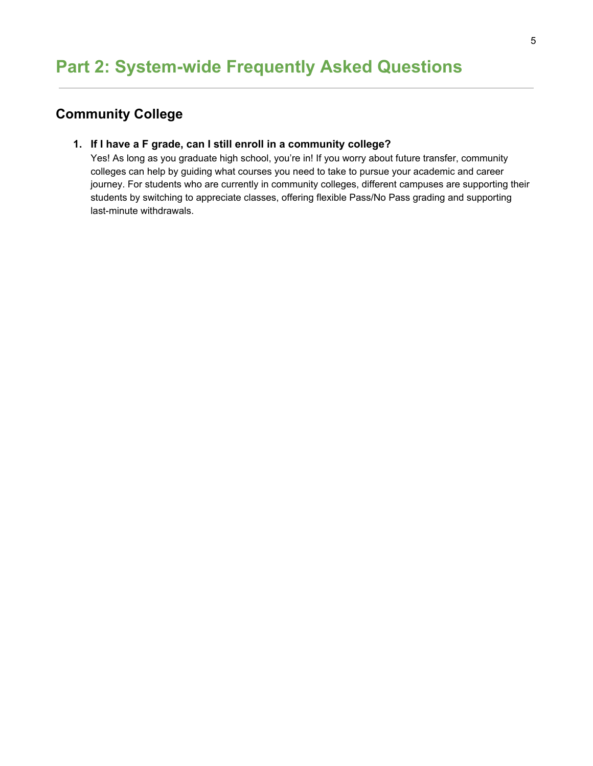# <span id="page-5-1"></span><span id="page-5-0"></span>**Community College**

#### **1. If I have a F grade, can I still enroll in a community college?**

Yes! As long as you graduate high school, you're in! If you worry about future transfer, community colleges can help by guiding what courses you need to take to pursue your academic and career journey. For students who are currently in community colleges, different campuses are supporting their students by switching to appreciate classes, offering flexible Pass/No Pass grading and supporting last-minute withdrawals.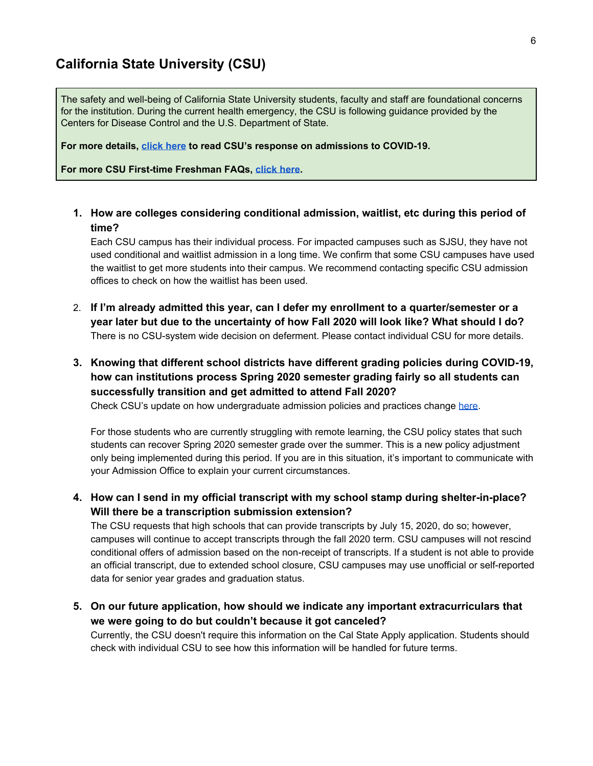### <span id="page-6-0"></span>**California State University (CSU)**

The safety and well-being of California State University students, faculty and staff are foundational concerns for the institution. During the current health emergency, the CSU is following guidance provided by the Centers for Disease Control and the U.S. Department of State.

**For more details, [click](https://www2.calstate.edu/coronavirus/) here to read CSU's response on admissions to COVID-19.**

**For more CSU First-time Freshman FAQs, [click](https://www2.calstate.edu/apply/Pages/first-time-freshman-faq.aspx#) here.**

<span id="page-6-1"></span>**1. How are colleges considering conditional admission, waitlist, etc during this period of time?**

Each CSU campus has their individual process. For impacted campuses such as SJSU, they have not used conditional and waitlist admission in a long time. We confirm that some CSU campuses have used the waitlist to get more students into their campus. We recommend contacting specific CSU admission offices to check on how the waitlist has been used.

- 2. **If I'm already admitted this year, can I defer my enrollment to a quarter/semester or a year later but due to the uncertainty of how Fall 2020 will look like? What should I do?** There is no CSU-system wide decision on deferment. Please contact individual CSU for more details.
- <span id="page-6-2"></span>**3. Knowing that different school districts have different grading policies during COVID-19, how can institutions process Spring 2020 semester grading fairly so all students can successfully transition and get admitted to attend Fall 2020?**

Check CSU's update on how undergraduate admission policies and practices change [here.](https://www.cde.ca.gov/ls/he/hn/documents/csuadmissioncovid19impact.pdf)

For those students who are currently struggling with remote learning, the CSU policy states that such students can recover Spring 2020 semester grade over the summer. This is a new policy adjustment only being implemented during this period. If you are in this situation, it's important to communicate with your Admission Office to explain your current circumstances.

**4. How can I send in my official transcript with my school stamp during shelter-in-place? Will there be a transcription submission extension?**

The CSU requests that high schools that can provide transcripts by July 15, 2020, do so; however, campuses will continue to accept transcripts through the fall 2020 term. CSU campuses will not rescind conditional offers of admission based on the non-receipt of transcripts. If a student is not able to provide an official transcript, due to extended school closure, CSU campuses may use unofficial or self-reported data for senior year grades and graduation status.

**5. On our future application, how should we indicate any important extracurriculars that we were going to do but couldn't because it got canceled?** Currently, the CSU doesn't require this information on the Cal State Apply application. Students should check with individual CSU to see how this information will be handled for future terms.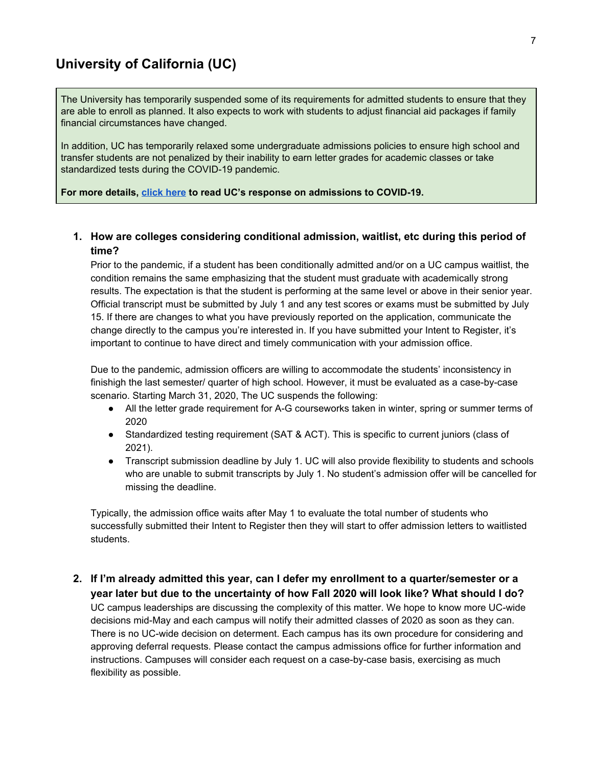### <span id="page-7-0"></span>**University of California (UC)**

The University has temporarily suspended some of its requirements for admitted students to ensure that they are able to enroll as planned. It also expects to work with students to adjust financial aid packages if family financial circumstances have changed.

In addition, UC has temporarily relaxed some undergraduate admissions policies to ensure high school and transfer students are not penalized by their inability to earn letter grades for academic classes or take standardized tests during the COVID-19 pandemic.

#### **For more details, [click](https://admission.universityofcalifornia.edu/response-covid-19.html) here to read UC's response on admissions to COVID-19.**

#### <span id="page-7-1"></span>**1. How are colleges considering conditional admission, waitlist, etc during this period of time?**

Prior to the pandemic, if a student has been conditionally admitted and/or on a UC campus waitlist, the condition remains the same emphasizing that the student must graduate with academically strong results. The expectation is that the student is performing at the same level or above in their senior year. Official transcript must be submitted by July 1 and any test scores or exams must be submitted by July 15. If there are changes to what you have previously reported on the application, communicate the change directly to the campus you're interested in. If you have submitted your Intent to Register, it's important to continue to have direct and timely communication with your admission office.

Due to the pandemic, admission officers are willing to accommodate the students' inconsistency in finishigh the last semester/ quarter of high school. However, it must be evaluated as a case-by-case scenario. Starting March 31, 2020, The UC suspends the following:

- All the letter grade requirement for A-G courseworks taken in winter, spring or summer terms of 2020
- Standardized testing requirement (SAT & ACT). This is specific to current juniors (class of 2021).
- Transcript submission deadline by July 1. UC will also provide flexibility to students and schools who are unable to submit transcripts by July 1. No student's admission offer will be cancelled for missing the deadline.

Typically, the admission office waits after May 1 to evaluate the total number of students who successfully submitted their Intent to Register then they will start to offer admission letters to waitlisted students.

**2. If I'm already admitted this year, can I defer my enrollment to a quarter/semester or a year later but due to the uncertainty of how Fall 2020 will look like? What should I do?** UC campus leaderships are discussing the complexity of this matter. We hope to know more UC-wide decisions mid-May and each campus will notify their admitted classes of 2020 as soon as they can. There is no UC-wide decision on determent. Each campus has its own procedure for considering and approving deferral requests. Please contact the campus admissions office for further information and instructions. Campuses will consider each request on a case-by-case basis, exercising as much flexibility as possible.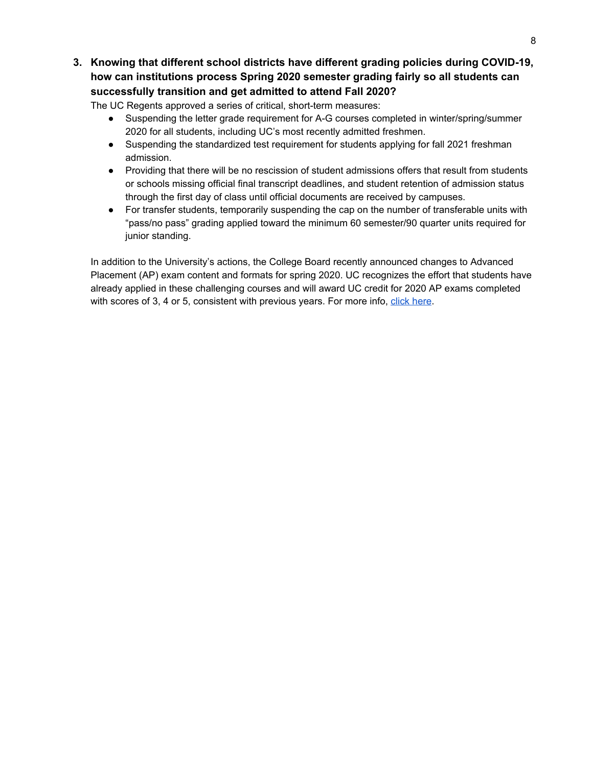<span id="page-8-0"></span>**3. Knowing that different school districts have different grading policies during COVID-19, how can institutions process Spring 2020 semester grading fairly so all students can successfully transition and get admitted to attend Fall 2020?**

The UC Regents approved a series of critical, short-term measures:

- Suspending the letter grade requirement for A-G courses completed in winter/spring/summer 2020 for all students, including UC's most recently admitted freshmen.
- Suspending the standardized test requirement for students applying for fall 2021 freshman admission.
- Providing that there will be no rescission of student admissions offers that result from students or schools missing official final transcript deadlines, and student retention of admission status through the first day of class until official documents are received by campuses.
- For transfer students, temporarily suspending the cap on the number of transferable units with "pass/no pass" grading applied toward the minimum 60 semester/90 quarter units required for junior standing.

In addition to the University's actions, the College Board recently announced changes to Advanced Placement (AP) exam content and formats for spring 2020. UC recognizes the effort that students have already applied in these challenging courses and will award UC credit for 2020 AP exams completed with scores of 3, 4 or 5, consistent with previous years. For more info, click [here.](https://www.universityofcalifornia.edu/press-room/uc-eases-admissions-requirements-help-students-families-wake-covid-19)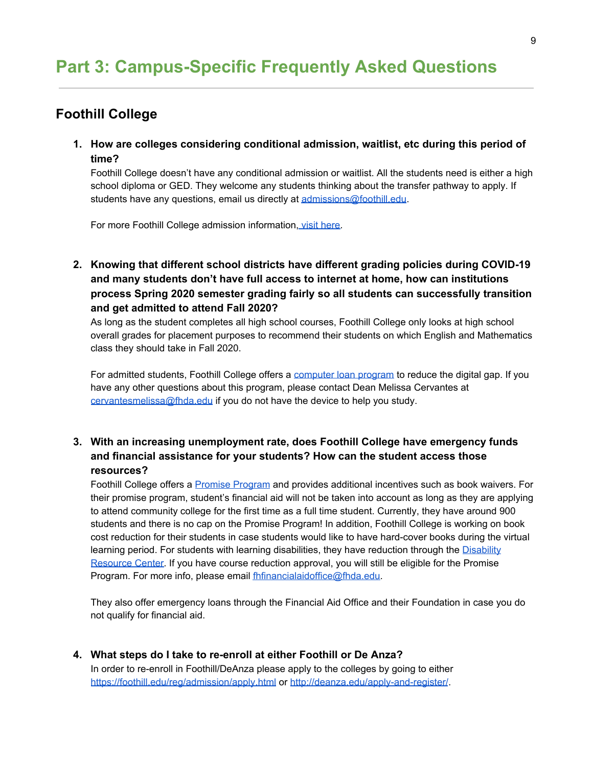# <span id="page-9-0"></span>**Part 3: Campus-Specific Frequently Asked Questions**

# <span id="page-9-1"></span>**Foothill College**

**1. How are colleges considering conditional admission, waitlist, etc during this period of time?**

Foothill College doesn't have any conditional admission or waitlist. All the students need is either a high school diploma or GED. They welcome any students thinking about the transfer pathway to apply. If students have any questions, email us directly at [admissions@foothill.edu.](mailto:admissions@foothill.edu)

For more Foothill College admission information, visit [here.](https://foothill.edu/reg/admission-records/)

<span id="page-9-2"></span>**2. Knowing that different school districts have different grading policies during COVID-19 and many students don't have full access to internet at home, how can institutions process Spring 2020 semester grading fairly so all students can successfully transition and get admitted to attend Fall 2020?**

As long as the student completes all high school courses, Foothill College only looks at high school overall grades for placement purposes to recommend their students on which English and Mathematics class they should take in Fall 2020.

For admitted students, Foothill College offers a [computer](https://foothill.edu/virtualcampus/) loan program to reduce the digital gap. If you have any other questions about this program, please contact Dean Melissa Cervantes at [cervantesmelissa@fhda.edu](mailto:cervantesmelissa@fhda.edu) if you do not have the device to help you study.

#### **3. With an increasing unemployment rate, does Foothill College have emergency funds and financial assistance for your students? How can the student access those resources?**

Foothill College offers a Promise [Program](https://foothill.edu/promise/) and provides additional incentives such as book waivers. For their promise program, student's financial aid will not be taken into account as long as they are applying to attend community college for the first time as a full time student. Currently, they have around 900 students and there is no cap on the Promise Program! In addition, Foothill College is working on book cost reduction for their students in case students would like to have hard-cover books during the virtual learning period. For students with learning disabilities, they have reduction through the [Disability](https://foothill.edu/drc/) [Resource](https://foothill.edu/drc/) Center. If you have course reduction approval, you will still be eligible for the Promise Program. For more info, please email [fhfinancialaidoffice@fhda.edu.](mailto:fhfinancialaidoffice@fhda.edu)

They also offer emergency loans through the Financial Aid Office and their Foundation in case you do not qualify for financial aid.

**4. What steps do I take to re-enroll at either Foothill or De Anza?**

In order to re-enroll in Foothill/DeAnza please apply to the colleges by going to either <https://foothill.edu/reg/admission/apply.html> or <http://deanza.edu/apply-and-register/>.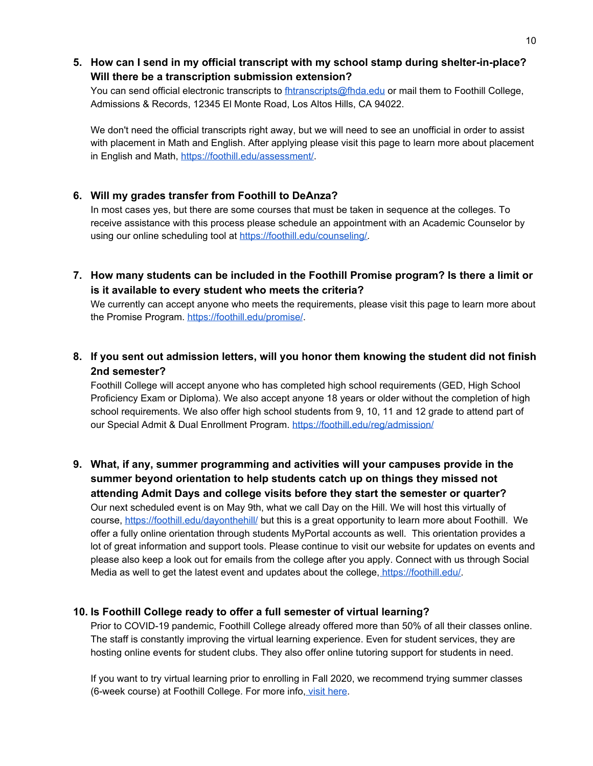#### **5. How can I send in my official transcript with my school stamp during shelter-in-place? Will there be a transcription submission extension?**

You can send official electronic transcripts to *[fhtranscripts@fhda.edu](mailto:fhtranscripts@fhda.edu)* or mail them to Foothill College, Admissions & Records, 12345 El Monte Road, Los Altos Hills, CA 94022.

We don't need the official transcripts right away, but we will need to see an unofficial in order to assist with placement in Math and English. After applying please visit this page to learn more about placement in English and Math, <https://foothill.edu/assessment/>.

#### **6. Will my grades transfer from Foothill to DeAnza?**

In most cases yes, but there are some courses that must be taken in sequence at the colleges. To receive assistance with this process please schedule an appointment with an Academic Counselor by using our online scheduling tool at [https://foothill.edu/counseling/.](https://foothill.edu/counseling/)

**7. How many students can be included in the Foothill Promise program? Is there a limit or is it available to every student who meets the criteria?**

We currently can accept anyone who meets the requirements, please visit this page to learn more about the Promise Program. <https://foothill.edu/promise/>.

#### **8. If you sent out admission letters, will you honor them knowing the student did not finish 2nd semester?**

Foothill College will accept anyone who has completed high school requirements (GED, High School Proficiency Exam or Diploma). We also accept anyone 18 years or older without the completion of high school requirements. We also offer high school students from 9, 10, 11 and 12 grade to attend part of our Special Admit & Dual Enrollment Program. <https://foothill.edu/reg/admission/>

**9. What, if any, summer programming and activities will your campuses provide in the summer beyond orientation to help students catch up on things they missed not attending Admit Days and college visits before they start the semester or quarter?** Our next scheduled event is on May 9th, what we call Day on the Hill. We will host this virtually of course, <https://foothill.edu/dayonthehill/> but this is a great opportunity to learn more about Foothill. We offer a fully online orientation through students MyPortal accounts as well. This orientation provides a lot of great information and support tools. Please continue to visit our website for updates on events and please also keep a look out for emails from the college after you apply. Connect with us through Social Media as well to get the latest event and updates about the college, [https://foothill.edu/.](https://foothill.edu/)

#### **10. Is Foothill College ready to offer a full semester of virtual learning?**

Prior to COVID-19 pandemic, Foothill College already offered more than 50% of all their classes online. The staff is constantly improving the virtual learning experience. Even for student services, they are hosting online events for student clubs. They also offer online tutoring support for students in need.

If you want to try virtual learning prior to enrolling in Fall 2020, we recommend trying summer classes (6-week course) at Foothill College. For more info, visit [here](https://foothill.edu/onlinelearning/).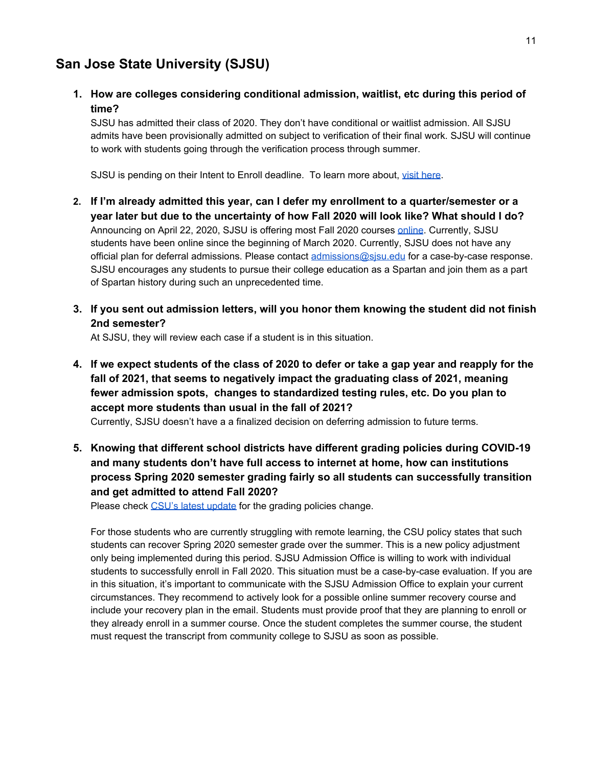# <span id="page-11-0"></span>**San Jose State University (SJSU)**

**1. How are colleges considering conditional admission, waitlist, etc during this period of time?**

SJSU has admitted their class of 2020. They don't have conditional or waitlist admission. All SJSU admits have been provisionally admitted on subject to verification of their final work. SJSU will continue to work with students going through the verification process through summer.

SJSU is pending on their Intent to Enroll deadline. To learn more about, visit [here](https://www.sjsu.edu/freshmanadmissions/been-admitted/intent-to-enroll/index.html).

- **2. If I'm already admitted this year, can I defer my enrollment to a quarter/semester or a year later but due to the uncertainty of how Fall 2020 will look like? What should I do?** Announcing on April 22, 2020, SJSU is offering most Fall 2020 courses [online](https://www.sfchronicle.com/bayarea/article/Coronavirus-and-college-San-Jose-State-plans-to-15218878.php). Currently, SJSU students have been online since the beginning of March 2020. Currently, SJSU does not have any official plan for deferral admissions. Please contact [admissions@sjsu.edu](mailto:admissions@sjsu.edu) for a case-by-case response. SJSU encourages any students to pursue their college education as a Spartan and join them as a part of Spartan history during such an unprecedented time.
- **3. If you sent out admission letters, will you honor them knowing the student did not finish 2nd semester?**

At SJSU, they will review each case if a student is in this situation.

4. If we expect students of the class of 2020 to defer or take a gap year and reapply for the **fall of 2021, that seems to negatively impact the graduating class of 2021, meaning fewer admission spots, changes to standardized testing rules, etc. Do you plan to accept more students than usual in the fall of 2021?**

Currently, SJSU doesn't have a a finalized decision on deferring admission to future terms.

**5. Knowing that different school districts have different grading policies during COVID-19 and many students don't have full access to internet at home, how can institutions process Spring 2020 semester grading fairly so all students can successfully transition and get admitted to attend Fall 2020?**

Please check CSU's latest [update](#page-6-2) for the grading policies change.

For those students who are currently struggling with remote learning, the CSU policy states that such students can recover Spring 2020 semester grade over the summer. This is a new policy adjustment only being implemented during this period. SJSU Admission Office is willing to work with individual students to successfully enroll in Fall 2020. This situation must be a case-by-case evaluation. If you are in this situation, it's important to communicate with the SJSU Admission Office to explain your current circumstances. They recommend to actively look for a possible online summer recovery course and include your recovery plan in the email. Students must provide proof that they are planning to enroll or they already enroll in a summer course. Once the student completes the summer course, the student must request the transcript from community college to SJSU as soon as possible.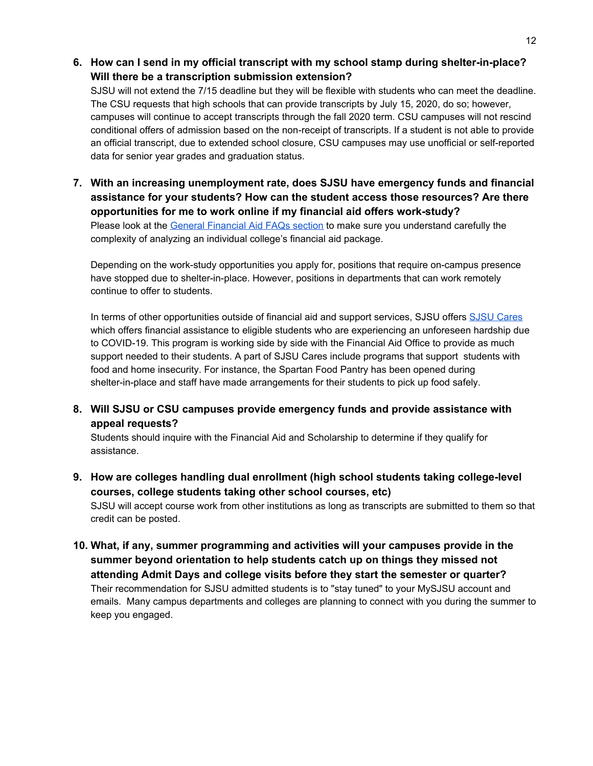**6. How can I send in my official transcript with my school stamp during shelter-in-place? Will there be a transcription submission extension?**

SJSU will not extend the 7/15 deadline but they will be flexible with students who can meet the deadline. The CSU requests that high schools that can provide transcripts by July 15, 2020, do so; however, campuses will continue to accept transcripts through the fall 2020 term. CSU campuses will not rescind conditional offers of admission based on the non-receipt of transcripts. If a student is not able to provide an official transcript, due to extended school closure, CSU campuses may use unofficial or self-reported data for senior year grades and graduation status.

**7. With an increasing unemployment rate, does SJSU have emergency funds and financial assistance for your students? How can the student access those resources? Are there opportunities for me to work online if my financial aid offers work-study?** Please look at the General [Financial](#page-4-0) Aid FAQs section to make sure you understand carefully the complexity of analyzing an individual college's financial aid package.

Depending on the work-study opportunities you apply for, positions that require on-campus presence have stopped due to shelter-in-place. However, positions in departments that can work remotely continue to offer to students.

In terms of other opportunities outside of financial aid and support services, SJSU offers SJSU [Cares](https://www.sjsu.edu/sjsucares/) which offers financial assistance to eligible students who are experiencing an unforeseen hardship due to COVID-19. This program is working side by side with the Financial Aid Office to provide as much support needed to their students. A part of SJSU Cares include programs that support students with food and home insecurity. For instance, the Spartan Food Pantry has been opened during shelter-in-place and staff have made arrangements for their students to pick up food safely.

**8. Will SJSU or CSU campuses provide emergency funds and provide assistance with appeal requests?**

Students should inquire with the Financial Aid and Scholarship to determine if they qualify for assistance.

- **9. How are colleges handling dual enrollment (high school students taking college-level courses, college students taking other school courses, etc)** SJSU will accept course work from other institutions as long as transcripts are submitted to them so that credit can be posted.
- **10. What, if any, summer programming and activities will your campuses provide in the summer beyond orientation to help students catch up on things they missed not attending Admit Days and college visits before they start the semester or quarter?** Their recommendation for SJSU admitted students is to "stay tuned" to your MySJSU account and emails. Many campus departments and colleges are planning to connect with you during the summer to keep you engaged.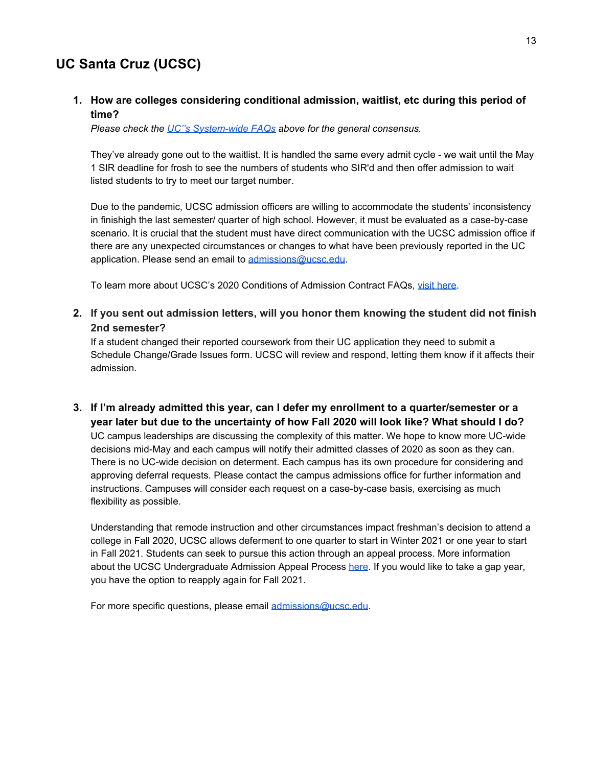# <span id="page-13-0"></span>**UC Santa Cruz (UCSC)**

#### **1. How are colleges considering conditional admission, waitlist, etc during this period of time?**

*Please check the UC''s [System-wide](#page-7-1) FAQs above for the general consensus.*

They've already gone out to the waitlist. It is handled the same every admit cycle - we wait until the May 1 SIR deadline for frosh to see the numbers of students who SIR'd and then offer admission to wait listed students to try to meet our target number.

Due to the pandemic, UCSC admission officers are willing to accommodate the students' inconsistency in finishigh the last semester/ quarter of high school. However, it must be evaluated as a case-by-case scenario. It is crucial that the student must have direct communication with the UCSC admission office if there are any unexpected circumstances or changes to what have been previously reported in the UC application. Please send an email to [admissions@ucsc.edu](mailto:admissions@ucsc.edu).

To learn more about UCSC's 2020 Conditions of Admission Contract FAQs, visit [here.](https://admissions.ucsc.edu/apply/conditions-faq.html)

#### <span id="page-13-1"></span>**2. If you sent out admission letters, will you honor them knowing the student did not finish 2nd semester?**

If a student changed their reported coursework from their UC application they need to submit a Schedule Change/Grade Issues form. UCSC will review and respond, letting them know if it affects their admission.

**3. If I'm already admitted this year, can I defer my enrollment to a quarter/semester or a year later but due to the uncertainty of how Fall 2020 will look like? What should I do?**

UC campus leaderships are discussing the complexity of this matter. We hope to know more UC-wide decisions mid-May and each campus will notify their admitted classes of 2020 as soon as they can. There is no UC-wide decision on determent. Each campus has its own procedure for considering and approving deferral requests. Please contact the campus admissions office for further information and instructions. Campuses will consider each request on a case-by-case basis, exercising as much flexibility as possible.

Understanding that remode instruction and other circumstances impact freshman's decision to attend a college in Fall 2020, UCSC allows deferment to one quarter to start in Winter 2021 or one year to start in Fall 2021. Students can seek to pursue this action through an appeal process. More information about the UCSC Undergraduate Admission Appeal Process [here](https://admissions.ucsc.edu/apply/appeals.html). If you would like to take a gap year, you have the option to reapply again for Fall 2021.

For more specific questions, please email [admissions@ucsc.edu](mailto:admissions@ucsc.edu).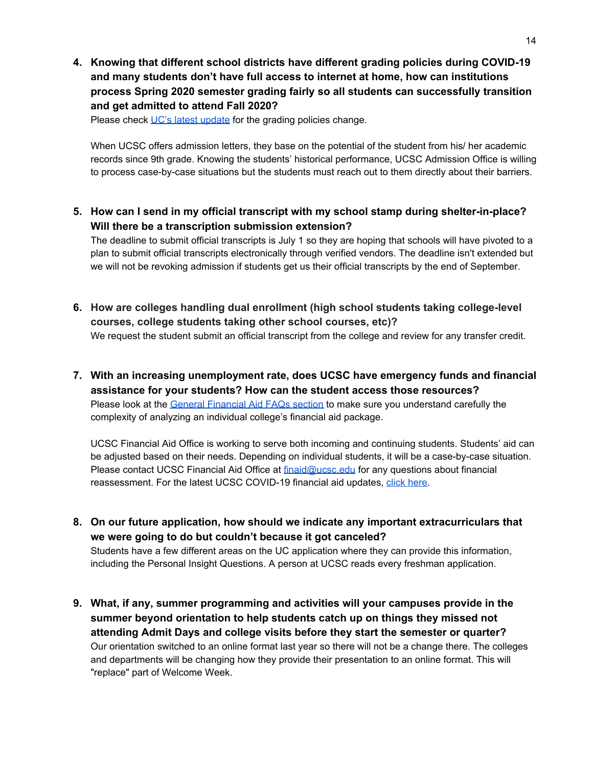**4. Knowing that different school districts have different grading policies during COVID-19 and many students don't have full access to internet at home, how can institutions process Spring 2020 semester grading fairly so all students can successfully transition and get admitted to attend Fall 2020?**

Please check UC's latest [update](#page-8-0) for the grading policies change.

When UCSC offers admission letters, they base on the potential of the student from his/ her academic records since 9th grade. Knowing the students' historical performance, UCSC Admission Office is willing to process case-by-case situations but the students must reach out to them directly about their barriers.

**5. How can I send in my official transcript with my school stamp during shelter-in-place? Will there be a transcription submission extension?**

The deadline to submit official transcripts is July 1 so they are hoping that schools will have pivoted to a plan to submit official transcripts electronically through verified vendors. The deadline isn't extended but we will not be revoking admission if students get us their official transcripts by the end of September.

- **6. How are colleges handling dual enrollment (high school students taking college-level courses, college students taking other school courses, etc)?** We request the student submit an official transcript from the college and review for any transfer credit.
- **7. With an increasing unemployment rate, does UCSC have emergency funds and financial assistance for your students? How can the student access those resources?**

Please look at the General [Financial](#page-4-0) Aid FAQs section to make sure you understand carefully the complexity of analyzing an individual college's financial aid package.

UCSC Financial Aid Office is working to serve both incoming and continuing students. Students' aid can be adjusted based on their needs. Depending on individual students, it will be a case-by-case situation. Please contact UCSC Financial Aid Office at [finaid@ucsc.edu](mailto:finaid@ucsc.edu) for any questions about financial reassessment. For the latest UCSC COVID-19 financial aid updates, click [here.](https://financialaid.ucsc.edu/coronavirus/covid-19.html)

**8. On our future application, how should we indicate any important extracurriculars that we were going to do but couldn't because it got canceled?** Students have a few different areas on the UC application where they can provide this information,

including the Personal Insight Questions. A person at UCSC reads every freshman application.

**9. What, if any, summer programming and activities will your campuses provide in the summer beyond orientation to help students catch up on things they missed not attending Admit Days and college visits before they start the semester or quarter?** Our orientation switched to an online format last year so there will not be a change there. The colleges and departments will be changing how they provide their presentation to an online format. This will "replace" part of Welcome Week.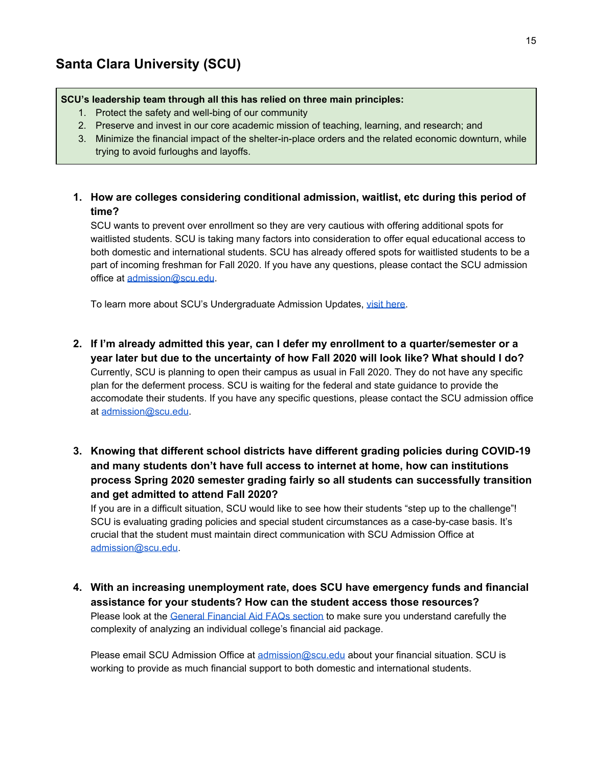#### <span id="page-15-0"></span>**SCU's leadership team through all this has relied on three main principles:**

- 1. Protect the safety and well-bing of our community
- 2. Preserve and invest in our core academic mission of teaching, learning, and research; and
- 3. Minimize the financial impact of the shelter-in-place orders and the related economic downturn, while trying to avoid furloughs and layoffs.
- **1. How are colleges considering conditional admission, waitlist, etc during this period of time?**

SCU wants to prevent over enrollment so they are very cautious with offering additional spots for waitlisted students. SCU is taking many factors into consideration to offer equal educational access to both domestic and international students. SCU has already offered spots for waitlisted students to be a part of incoming freshman for Fall 2020. If you have any questions, please contact the SCU admission office at [admission@scu.edu](mailto:admission@scu.edu).

To learn more about SCU's Undergraduate Admission Updates, visit [here](https://www.scu.edu/admission/undergraduate/first-year-students/).

- **2. If I'm already admitted this year, can I defer my enrollment to a quarter/semester or a year later but due to the uncertainty of how Fall 2020 will look like? What should I do?** Currently, SCU is planning to open their campus as usual in Fall 2020. They do not have any specific plan for the deferment process. SCU is waiting for the federal and state guidance to provide the accomodate their students. If you have any specific questions, please contact the SCU admission office at [admission@scu.edu.](mailto:admission@scu.edu)
- **3. Knowing that different school districts have different grading policies during COVID-19 and many students don't have full access to internet at home, how can institutions process Spring 2020 semester grading fairly so all students can successfully transition and get admitted to attend Fall 2020?**

If you are in a difficult situation, SCU would like to see how their students "step up to the challenge"! SCU is evaluating grading policies and special student circumstances as a case-by-case basis. It's crucial that the student must maintain direct communication with SCU Admission Office at [admission@scu.edu.](mailto:admission@scu.edu)

**4. With an increasing unemployment rate, does SCU have emergency funds and financial assistance for your students? How can the student access those resources?** Please look at the General [Financial](#page-4-0) Aid FAQs section to make sure you understand carefully the complexity of analyzing an individual college's financial aid package.

Please email SCU Admission Office at [admission@scu.edu](mailto:admission@scu.edu) about your financial situation. SCU is working to provide as much financial support to both domestic and international students.